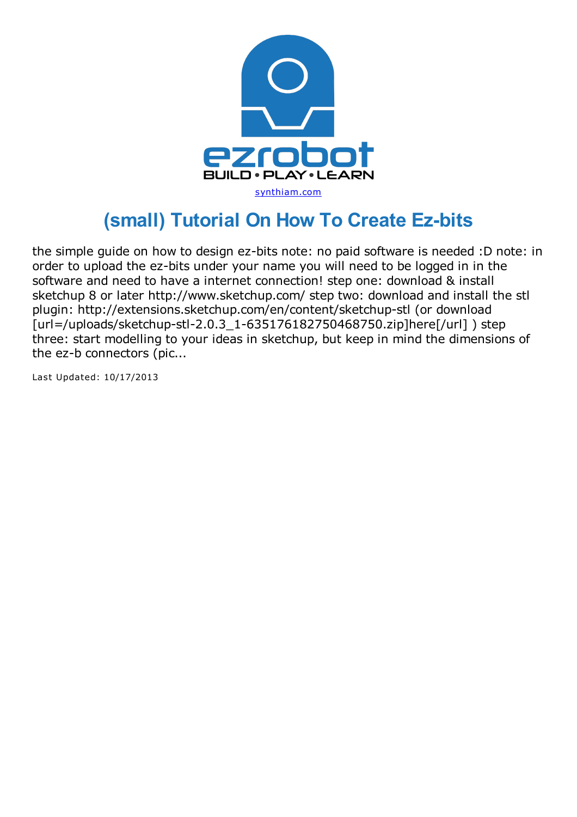

## **(small) Tutorial On How To Create Ez-bits**

the simple guide on how to design ez-bits note: no paid software is needed :D note: in order to upload the ez-bits under your name you will need to be logged in in the software and need to have a internet connection! step one: download & install sketchup 8 or later http://www.sketchup.com/ step two: download and install the stl plugin: http://extensions.sketchup.com/en/content/sketchup-stl (or download [url=/uploads/sketchup-stl-2.0.3 1-635176182750468750.zip]here[/url] ) step three: start modelling to your ideas in sketchup, but keep in mind the dimensions of the ez-b connectors (pic...

Last Updated: 10/17/2013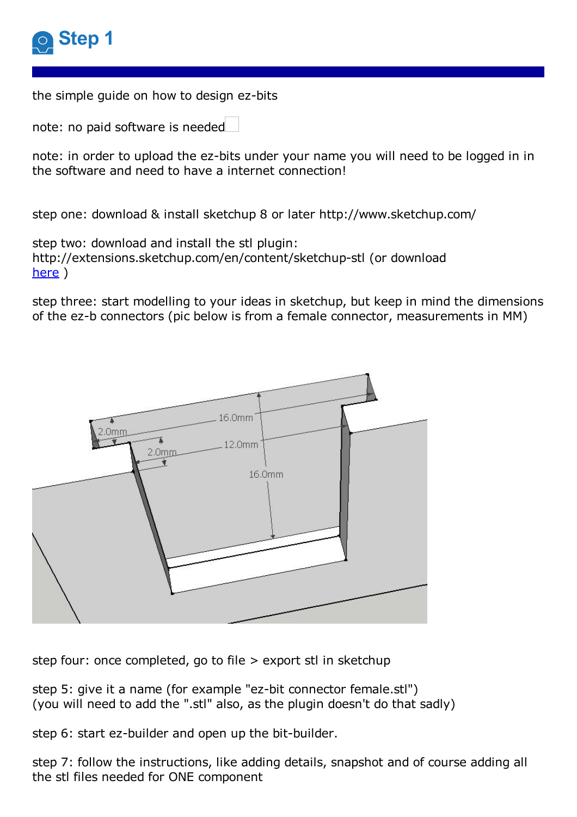

the simple guide on how to design ez-bits

note: no paid software is needed

note: in order to upload the ez-bits under your name you will need to be logged in in the software and need to have a internet connection!

step one: download & install sketchup 8 or later http://www.sketchup.com/

step two: download and install the stl plugin: http://extensions.sketchup.com/en/content/sketchup-stl (or download [here](https://synthiam.com/uploads/sketchup-stl-2.0.3_1-635176182750468750.zip) )

step three: start modelling to your ideas in sketchup, but keep in mind the dimensions of the ez-b connectors (pic below is from a female connector, measurements in MM)



step four: once completed, go to file > export stl in sketchup

step 5: give it a name (for example "ez-bit connector female.stl") (you will need to add the ".stl" also, as the plugin doesn't do that sadly)

step 6: start ez-builder and open up the bit-builder.

step 7: follow the instructions, like adding details, snapshot and of course adding all the stl files needed for ONE component